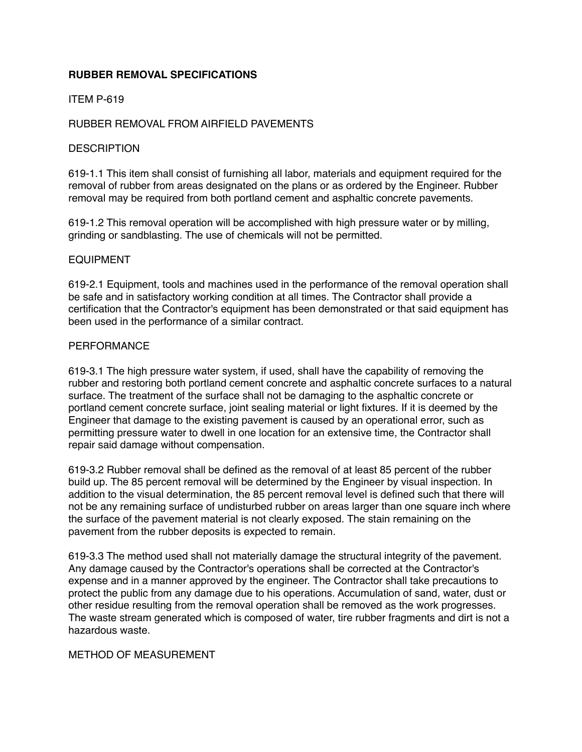# **RUBBER REMOVAL SPECIFICATIONS**

## ITEM P-619

## RUBBER REMOVAL FROM AIRFIELD PAVEMENTS

### **DESCRIPTION**

619-1.1 This item shall consist of furnishing all labor, materials and equipment required for the removal of rubber from areas designated on the plans or as ordered by the Engineer. Rubber removal may be required from both portland cement and asphaltic concrete pavements.

619-1.2 This removal operation will be accomplished with high pressure water or by milling, grinding or sandblasting. The use of chemicals will not be permitted.

#### EQUIPMENT

619-2.1 Equipment, tools and machines used in the performance of the removal operation shall be safe and in satisfactory working condition at all times. The Contractor shall provide a certification that the Contractor's equipment has been demonstrated or that said equipment has been used in the performance of a similar contract.

#### **PERFORMANCE**

619-3.1 The high pressure water system, if used, shall have the capability of removing the rubber and restoring both portland cement concrete and asphaltic concrete surfaces to a natural surface. The treatment of the surface shall not be damaging to the asphaltic concrete or portland cement concrete surface, joint sealing material or light fixtures. If it is deemed by the Engineer that damage to the existing pavement is caused by an operational error, such as permitting pressure water to dwell in one location for an extensive time, the Contractor shall repair said damage without compensation.

619-3.2 Rubber removal shall be defined as the removal of at least 85 percent of the rubber build up. The 85 percent removal will be determined by the Engineer by visual inspection. In addition to the visual determination, the 85 percent removal level is defined such that there will not be any remaining surface of undisturbed rubber on areas larger than one square inch where the surface of the pavement material is not clearly exposed. The stain remaining on the pavement from the rubber deposits is expected to remain.

619-3.3 The method used shall not materially damage the structural integrity of the pavement. Any damage caused by the Contractor's operations shall be corrected at the Contractor's expense and in a manner approved by the engineer. The Contractor shall take precautions to protect the public from any damage due to his operations. Accumulation of sand, water, dust or other residue resulting from the removal operation shall be removed as the work progresses. The waste stream generated which is composed of water, tire rubber fragments and dirt is not a hazardous waste.

## METHOD OF MEASUREMENT